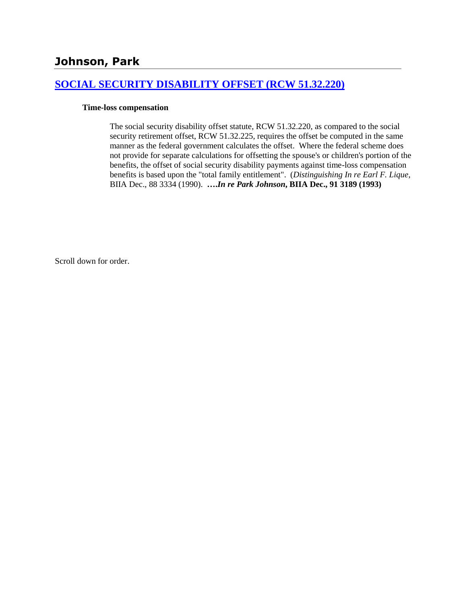# **Johnson, Park**

### **[SOCIAL SECURITY DISABILITY OFFSET \(RCW 51.32.220\)](http://www.biia.wa.gov/SDSubjectIndex.html#SOCIAL_SECURITY_DISABILITY_OFFSET)**

### **Time-loss compensation**

The social security disability offset statute, RCW 51.32.220, as compared to the social security retirement offset, RCW 51.32.225, requires the offset be computed in the same manner as the federal government calculates the offset. Where the federal scheme does not provide for separate calculations for offsetting the spouse's or children's portion of the benefits, the offset of social security disability payments against time-loss compensation benefits is based upon the "total family entitlement". (*Distinguishing In re Earl F. Lique*, BIIA Dec., 88 3334 (1990). **….***In re Park Johnson***, BIIA Dec., 91 3189 (1993)**

Scroll down for order.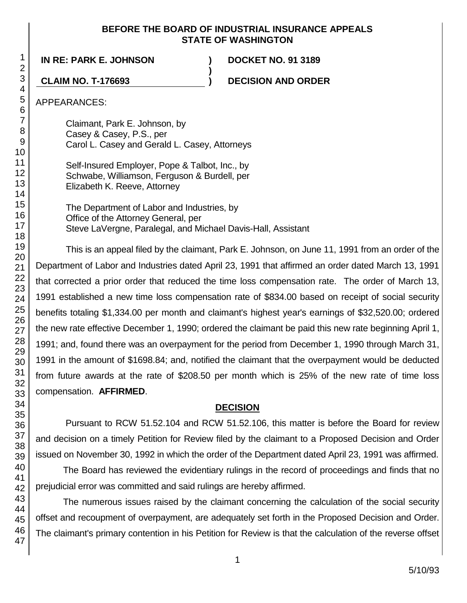### **BEFORE THE BOARD OF INDUSTRIAL INSURANCE APPEALS STATE OF WASHINGTON**

**)**

**IN RE: PARK E. JOHNSON ) DOCKET NO. 91 3189**

**CLAIM NO. T-176693 ) DECISION AND ORDER**

APPEARANCES:

Claimant, Park E. Johnson, by Casey & Casey, P.S., per Carol L. Casey and Gerald L. Casey, Attorneys

Self-Insured Employer, Pope & Talbot, Inc., by Schwabe, Williamson, Ferguson & Burdell, per Elizabeth K. Reeve, Attorney

The Department of Labor and Industries, by Office of the Attorney General, per Steve LaVergne, Paralegal, and Michael Davis-Hall, Assistant

This is an appeal filed by the claimant, Park E. Johnson, on June 11, 1991 from an order of the Department of Labor and Industries dated April 23, 1991 that affirmed an order dated March 13, 1991 that corrected a prior order that reduced the time loss compensation rate. The order of March 13, 1991 established a new time loss compensation rate of \$834.00 based on receipt of social security benefits totaling \$1,334.00 per month and claimant's highest year's earnings of \$32,520.00; ordered the new rate effective December 1, 1990; ordered the claimant be paid this new rate beginning April 1, 1991; and, found there was an overpayment for the period from December 1, 1990 through March 31, 1991 in the amount of \$1698.84; and, notified the claimant that the overpayment would be deducted from future awards at the rate of \$208.50 per month which is 25% of the new rate of time loss compensation. **AFFIRMED**.

# **DECISION**

Pursuant to RCW 51.52.104 and RCW 51.52.106, this matter is before the Board for review and decision on a timely Petition for Review filed by the claimant to a Proposed Decision and Order issued on November 30, 1992 in which the order of the Department dated April 23, 1991 was affirmed.

The Board has reviewed the evidentiary rulings in the record of proceedings and finds that no prejudicial error was committed and said rulings are hereby affirmed.

The numerous issues raised by the claimant concerning the calculation of the social security offset and recoupment of overpayment, are adequately set forth in the Proposed Decision and Order. The claimant's primary contention in his Petition for Review is that the calculation of the reverse offset

1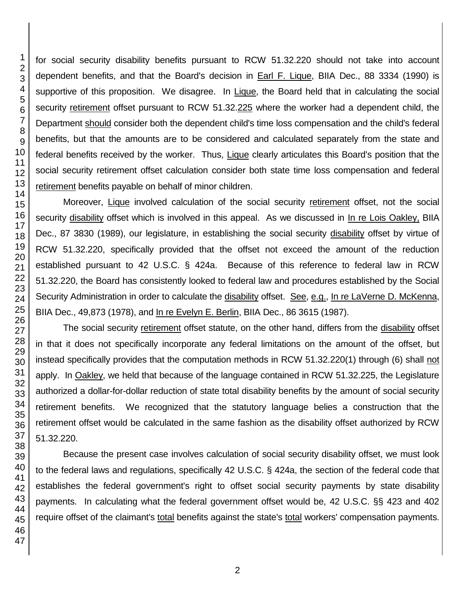for social security disability benefits pursuant to RCW 51.32.220 should not take into account dependent benefits, and that the Board's decision in Earl F. Lique, BIIA Dec., 88 3334 (1990) is supportive of this proposition. We disagree. In Lique, the Board held that in calculating the social security retirement offset pursuant to RCW 51.32.225 where the worker had a dependent child, the Department should consider both the dependent child's time loss compensation and the child's federal benefits, but that the amounts are to be considered and calculated separately from the state and federal benefits received by the worker. Thus, Lique clearly articulates this Board's position that the social security retirement offset calculation consider both state time loss compensation and federal retirement benefits payable on behalf of minor children.

Moreover, Lique involved calculation of the social security retirement offset, not the social security disability offset which is involved in this appeal. As we discussed in In re Lois Oakley, BIIA Dec., 87 3830 (1989), our legislature, in establishing the social security disability offset by virtue of RCW 51.32.220, specifically provided that the offset not exceed the amount of the reduction established pursuant to 42 U.S.C. § 424a. Because of this reference to federal law in RCW 51.32.220, the Board has consistently looked to federal law and procedures established by the Social Security Administration in order to calculate the disability offset. See, e.g., In re LaVerne D. McKenna, BIIA Dec., 49,873 (1978), and In re Evelyn E. Berlin, BIIA Dec., 86 3615 (1987).

The social security retirement offset statute, on the other hand, differs from the disability offset in that it does not specifically incorporate any federal limitations on the amount of the offset, but instead specifically provides that the computation methods in RCW 51.32.220(1) through (6) shall not apply. In Oakley, we held that because of the language contained in RCW 51.32.225, the Legislature authorized a dollar-for-dollar reduction of state total disability benefits by the amount of social security retirement benefits. We recognized that the statutory language belies a construction that the retirement offset would be calculated in the same fashion as the disability offset authorized by RCW 51.32.220.

Because the present case involves calculation of social security disability offset, we must look to the federal laws and regulations, specifically 42 U.S.C. § 424a, the section of the federal code that establishes the federal government's right to offset social security payments by state disability payments. In calculating what the federal government offset would be, 42 U.S.C. §§ 423 and 402 require offset of the claimant's total benefits against the state's total workers' compensation payments.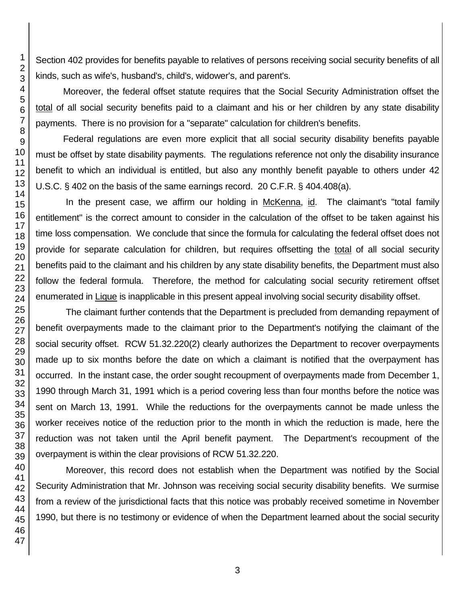Section 402 provides for benefits payable to relatives of persons receiving social security benefits of all kinds, such as wife's, husband's, child's, widower's, and parent's.

Moreover, the federal offset statute requires that the Social Security Administration offset the total of all social security benefits paid to a claimant and his or her children by any state disability payments. There is no provision for a "separate" calculation for children's benefits.

Federal regulations are even more explicit that all social security disability benefits payable must be offset by state disability payments. The regulations reference not only the disability insurance benefit to which an individual is entitled, but also any monthly benefit payable to others under 42 U.S.C. § 402 on the basis of the same earnings record. 20 C.F.R. § 404.408(a).

In the present case, we affirm our holding in McKenna, id. The claimant's "total family entitlement" is the correct amount to consider in the calculation of the offset to be taken against his time loss compensation. We conclude that since the formula for calculating the federal offset does not provide for separate calculation for children, but requires offsetting the total of all social security benefits paid to the claimant and his children by any state disability benefits, the Department must also follow the federal formula. Therefore, the method for calculating social security retirement offset enumerated in **Lique** is inapplicable in this present appeal involving social security disability offset.

The claimant further contends that the Department is precluded from demanding repayment of benefit overpayments made to the claimant prior to the Department's notifying the claimant of the social security offset. RCW 51.32.220(2) clearly authorizes the Department to recover overpayments made up to six months before the date on which a claimant is notified that the overpayment has occurred. In the instant case, the order sought recoupment of overpayments made from December 1, 1990 through March 31, 1991 which is a period covering less than four months before the notice was sent on March 13, 1991. While the reductions for the overpayments cannot be made unless the worker receives notice of the reduction prior to the month in which the reduction is made, here the reduction was not taken until the April benefit payment. The Department's recoupment of the overpayment is within the clear provisions of RCW 51.32.220.

Moreover, this record does not establish when the Department was notified by the Social Security Administration that Mr. Johnson was receiving social security disability benefits. We surmise from a review of the jurisdictional facts that this notice was probably received sometime in November 1990, but there is no testimony or evidence of when the Department learned about the social security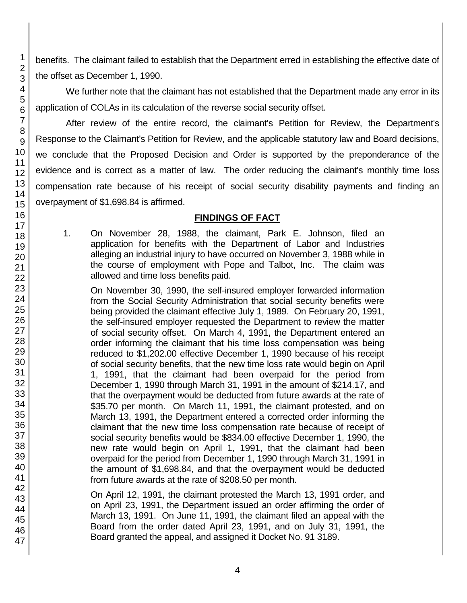benefits. The claimant failed to establish that the Department erred in establishing the effective date of the offset as December 1, 1990.

We further note that the claimant has not established that the Department made any error in its application of COLAs in its calculation of the reverse social security offset.

After review of the entire record, the claimant's Petition for Review, the Department's Response to the Claimant's Petition for Review, and the applicable statutory law and Board decisions, we conclude that the Proposed Decision and Order is supported by the preponderance of the evidence and is correct as a matter of law. The order reducing the claimant's monthly time loss compensation rate because of his receipt of social security disability payments and finding an overpayment of \$1,698.84 is affirmed.

# **FINDINGS OF FACT**

1. On November 28, 1988, the claimant, Park E. Johnson, filed an application for benefits with the Department of Labor and Industries alleging an industrial injury to have occurred on November 3, 1988 while in the course of employment with Pope and Talbot, Inc. The claim was allowed and time loss benefits paid.

On November 30, 1990, the self-insured employer forwarded information from the Social Security Administration that social security benefits were being provided the claimant effective July 1, 1989. On February 20, 1991, the self-insured employer requested the Department to review the matter of social security offset. On March 4, 1991, the Department entered an order informing the claimant that his time loss compensation was being reduced to \$1,202.00 effective December 1, 1990 because of his receipt of social security benefits, that the new time loss rate would begin on April 1, 1991, that the claimant had been overpaid for the period from December 1, 1990 through March 31, 1991 in the amount of \$214.17, and that the overpayment would be deducted from future awards at the rate of \$35.70 per month. On March 11, 1991, the claimant protested, and on March 13, 1991, the Department entered a corrected order informing the claimant that the new time loss compensation rate because of receipt of social security benefits would be \$834.00 effective December 1, 1990, the new rate would begin on April 1, 1991, that the claimant had been overpaid for the period from December 1, 1990 through March 31, 1991 in the amount of \$1,698.84, and that the overpayment would be deducted from future awards at the rate of \$208.50 per month.

On April 12, 1991, the claimant protested the March 13, 1991 order, and on April 23, 1991, the Department issued an order affirming the order of March 13, 1991. On June 11, 1991, the claimant filed an appeal with the Board from the order dated April 23, 1991, and on July 31, 1991, the Board granted the appeal, and assigned it Docket No. 91 3189.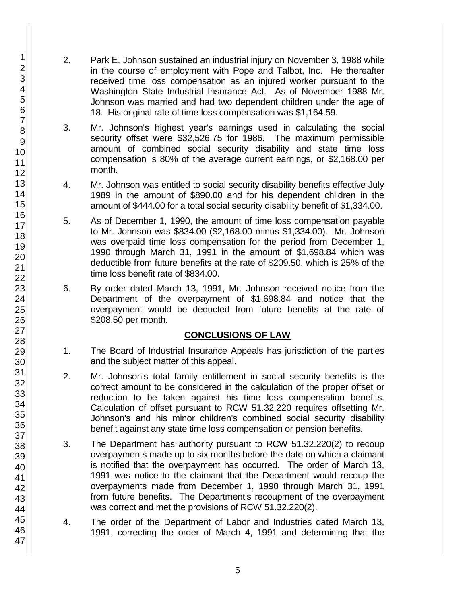- 2. Park E. Johnson sustained an industrial injury on November 3, 1988 while in the course of employment with Pope and Talbot, Inc. He thereafter received time loss compensation as an injured worker pursuant to the Washington State Industrial Insurance Act. As of November 1988 Mr. Johnson was married and had two dependent children under the age of 18. His original rate of time loss compensation was \$1,164.59.
- 3. Mr. Johnson's highest year's earnings used in calculating the social security offset were \$32,526.75 for 1986. The maximum permissible amount of combined social security disability and state time loss compensation is 80% of the average current earnings, or \$2,168.00 per month.
- 4. Mr. Johnson was entitled to social security disability benefits effective July 1989 in the amount of \$890.00 and for his dependent children in the amount of \$444.00 for a total social security disability benefit of \$1,334.00.
- 5. As of December 1, 1990, the amount of time loss compensation payable to Mr. Johnson was \$834.00 (\$2,168.00 minus \$1,334.00). Mr. Johnson was overpaid time loss compensation for the period from December 1, 1990 through March 31, 1991 in the amount of \$1,698.84 which was deductible from future benefits at the rate of \$209.50, which is 25% of the time loss benefit rate of \$834.00.
- 6. By order dated March 13, 1991, Mr. Johnson received notice from the Department of the overpayment of \$1,698.84 and notice that the overpayment would be deducted from future benefits at the rate of \$208.50 per month.

## **CONCLUSIONS OF LAW**

- 1. The Board of Industrial Insurance Appeals has jurisdiction of the parties and the subject matter of this appeal.
- 2. Mr. Johnson's total family entitlement in social security benefits is the correct amount to be considered in the calculation of the proper offset or reduction to be taken against his time loss compensation benefits. Calculation of offset pursuant to RCW 51.32.220 requires offsetting Mr. Johnson's and his minor children's combined social security disability benefit against any state time loss compensation or pension benefits.
- 3. The Department has authority pursuant to RCW 51.32.220(2) to recoup overpayments made up to six months before the date on which a claimant is notified that the overpayment has occurred. The order of March 13, 1991 was notice to the claimant that the Department would recoup the overpayments made from December 1, 1990 through March 31, 1991 from future benefits. The Department's recoupment of the overpayment was correct and met the provisions of RCW 51.32.220(2).
- 4. The order of the Department of Labor and Industries dated March 13, 1991, correcting the order of March 4, 1991 and determining that the

47